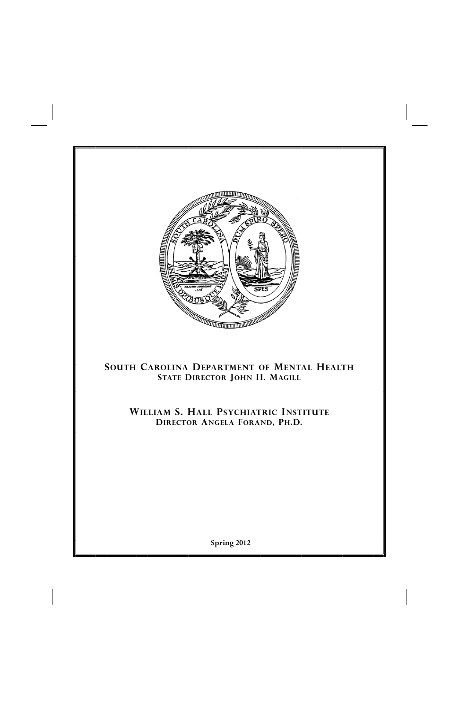

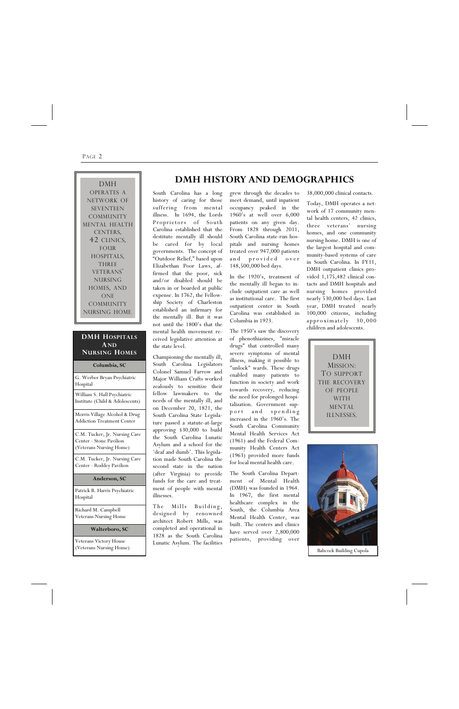South Carolina has a long history of caring for those suffering from mental illness. In 1694, the Lords Proprietors of South Carolina established that the destitute mentally ill should be cared for by local governments. The concept of "Outdoor Relief," based upon Elizabethan Poor Laws, affirmed that the poor, sick and/or disabled should be taken in or boarded at public expense. In 1762, the Fellowship Society of Charleston established an infirmary for the mentally ill. But it was not until the 1800's that the mental health movement received legislative attention at the state level.

The Mills Building, designed by renowned architect Robert Mills, was completed and operational in 1828 as the South Carolina Lunatic Asylum. The facilities

Championing the mentally ill, South Carolina Legislators Colonel Samuel Farrow and Major William Crafts worked zealously to sensitize their fellow lawmakers to the needs of the mentally ill, and on December 20, 1821, the South Carolina State Legislature passed a statute-at-large approving \$30,000 to build the South Carolina Lunatic Asylum and a school for the 'deaf and dumb'. This legislation made South Carolina the second state in the nation (after Virginia) to provide funds for the care and treatment of people with mental illnesses.

grew through the decades to meet demand, until inpatient occupancy peaked in the 1960's at well over 6,000 patients on any given day. From 1828 through 2011, South Carolina state-run hospitals and nursing homes treated over 947,000 patients and provided over 148,500,000 bed days.

In the 1920's, treatment of the mentally ill began to include outpatient care as well as institutional care. The first outpatient center in South Carolina was established in Columbia in 1923.

The 1950's saw the discovery of phenothiazines, "miracle drugs" that controlled many severe symptoms of mental illness, making it possible to "unlock" wards. These drugs enabled many patients to function in society and work towards recovery, reducing the need for prolonged hospitalization. Government supp o r t and spending increased in the 1960's. The South Carolina Community Mental Health Services Act (1961) and the Federal Community Health Centers Act (1963) provided more funds for local mental health care.

The South Carolina Department of Mental Health (DMH) was founded in 1964. In 1967, the first mental healthcare complex in the South, the Columbia Area Mental Health Center, was built. The centers and clinics have served over 2,800,000 patients, providing over

38,000,000 clinical contacts.

Today, DMH operates a network of 17 community mental health centers, 42 clinics, three veterans' nursing homes, and one community nursing home. DMH is one of the largest hospital and community-based systems of care in South Carolina. In FY11, DMH outpatient clinics provided 1,175,482 clinical contacts and DMH hospitals and nursing homes provided nearly 530,000 bed days. Last year, DMH treated nearly 100,000 citizens, including approximately 30,000 children and adolescents.

## **DMH HISTORY AND DEMOGRAPHICS**

#### PAGE 2

DMH MISSION: TO SUPPORT THE RECOVERY OF PEOPLE WITH MENTAL ILLNESSES.

DMH OPERATES A NETWORK OF SEVENTEEN COMMUNITY MENTAL HEALTH CENTERS, 42 CLINICS, FOUR HOSPITALS, THREE VETERANS' NURSING HOMES, AND ONE COMMUNITY NURSING HOME.



#### **DMH HOSPITALS AND NURSING HOMES**

**Columbia, SC** 

G. Werber Bryan Psychiatric Hospital

William S. Hall Psychiatric Institute (Child & Adolescents)

Morris Village Alcohol & Drug Addiction Treatment Center

C.M. Tucker, Jr. Nursing Care Center - Stone Pavilion (Veterans Nursing Home)

C.M. Tucker, Jr. Nursing Care Center - Roddey Pavilion

#### **Anderson, SC**

Patrick B. Harris Psychiatric Hospital

Richard M. Campbell Veterans Nursing Home

**Walterboro, SC** 

Veterans Victory House (Veterans Nursing Home)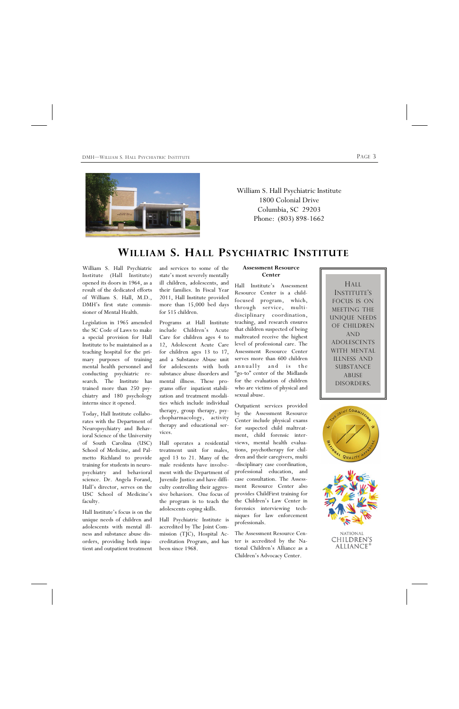## **WILLIAM S. HALL PSYCHIATRIC INSTITUTE**



William S. Hall Psychiatric Institute 1800 Colonial Drive Columbia, SC 29203 Phone: (803) 898-1662

William S. Hall Psychiatric Institute (Hall Institute) opened its doors in 1964, as a result of the dedicated efforts of William S. Hall, M.D., DMH's first state commissioner of Mental Health.

Legislation in 1965 amended the SC Code of Laws to make a special provision for Hall Institute to be maintained as a teaching hospital for the primary purposes of training mental health personnel and conducting psychiatric research. The Institute has trained more than 250 psychiatry and 180 psychology interns since it opened.

Today, Hall Institute collaborates with the Department of Neuropsychiatry and Behavioral Science of the University of South Carolina (USC) School of Medicine, and Palmetto Richland to provide training for students in neuropsychiatry and behavioral science. Dr. Angela Forand, Hall's director, serves on the USC School of Medicine's faculty.

Hall Institute's focus is on the unique needs of children and adolescents with mental illness and substance abuse disorders, providing both inpatient and outpatient treatment

#### **Assessment Resource Center**

Hall Institute's Assessment Resource Center is a childfocused program, which, through service, multidisciplinary coordination, teaching, and research ensures that children suspected of being maltreated receive the highest level of professional care. The Assessment Resource Center serves more than 600 children annually and is the "go-to" center of the Midlands for the evaluation of children who are victims of physical and sexual abuse.

Outpatient services provided by the Assessment Resource Center include physical exams for suspected child maltreatment, child forensic interviews, mental health evaluations, psychotherapy for children and their caregivers, multi -disciplinary case coordination, professional education, and case consultation. The Assessment Resource Center also provides ChildFirst training for the Children's Law Center in forensics interviewing techniques for law enforcement

professionals.

The Assessment Resource Center is accredited by the National Children's Alliance as a Children's Advocacy Center.

NATIONAL CHILDREN'S ALLIANCE<sup>®</sup>

and services to some of the state's most severely mentally ill children, adolescents, and their families. In Fiscal Year 2011, Hall Institute provided more than 15,000 bed days for 515 children.

Programs at Hall Institute include Children's Acute Care for children ages 4 to 12, Adolescent Acute Care for children ages 13 to 17, and a Substance Abuse unit for adolescents with both substance abuse disorders and mental illness. These programs offer inpatient stabilization and treatment modalities which include individual therapy, group therapy, psychopharmacology, activity therapy and educational services.

Hall operates a residential treatment unit for males, aged 13 to 21. Many of the male residents have involvement with the Department of Juvenile Justice and have difficulty controlling their aggressive behaviors. One focus of the program is to teach the adolescents coping skills.

Hall Psychiatric Institute

accredited by The Joint Commission (TJC), Hospital Accreditation Program, and has been since 1968.





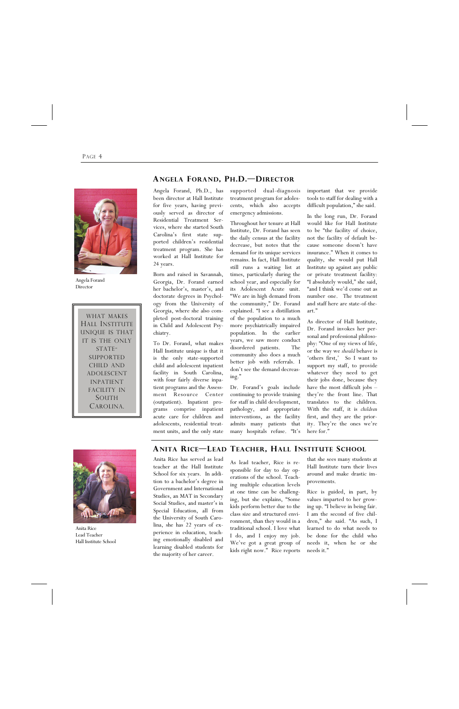PAGE 4



Angela Forand Director

### **ANITA RICE—LEAD TEACHER, HALL INSTITUTE SCHOOL**

Anita Rice has served as lead teacher at the Hall Institute School for six years. In addition to a bachelor's degree in Government and International Studies, an MAT in Secondary Social Studies, and master's in Special Education, all from the University of South Carolina, she has 22 years of experience in education, teaching emotionally disabled and learning disabled students for the majority of her career.

As lead teacher, Rice is responsible for day to day operations of the school. Teaching multiple education levels at one time can be challenging, but she explains, "Some kids perform better due to the class size and structured envi-

that she sees many students at Hall Institute turn their lives around and make drastic improvements.

ronment, than they would in a dren," she said. "As such, I traditional school. I love what learned to do what needs to I do, and I enjoy my job. be done for the child who We've got a great group of needs it, when he or she kids right now." Rice reports needs it."

Rice is guided, in part, by values imparted to her growing up. "I believe in being fair. I am the second of five chil-

Angela Forand, Ph.D., has been director at Hall Institute for five years, having previously served as director of Residential Treatment Services, where she started South Carolina's first state supported children's residential treatment program. She has worked at Hall Institute for 24 years.

Born and raised in Savannah, Georgia, Dr. Forand earned her bachelor's, master's, and doctorate degrees in Psychology from the University of Georgia, where she also completed post-doctoral training in Child and Adolescent Psychiatry.

To Dr. Forand, what makes Hall Institute unique is that it is the only state-supported child and adolescent inpatient facility in South Carolina, with four fairly diverse inpatient programs and the Assessment Resource Center (outpatient). Inpatient programs comprise inpatient acute care for children and adolescents, residential treatment units, and the only state supported dual-diagnosis treatment program for adolescents, which also accepts emergency admissions.

Throughout her tenure at Hall Institute, Dr. Forand has seen the daily census at the facility decrease, but notes that the demand for its unique services remains. In fact, Hall Institute still runs a waiting list at times, particularly during the school year, and especially for its Adolescent Acute unit. "We are in high demand from the community," Dr. Forand explained. "I see a distillation of the population to a much more psychiatrically impaired population. In the earlier years, we saw more conduct disordered patients. The community also does a much better job with referrals. I don't see the demand decreasing."

Dr. Forand's goals include continuing to provide training for staff in child development, pathology, and appropriate interventions, as the facility admits many patients that many hospitals refuse. "It's important that we provide tools to staff for dealing with a difficult population," she said.

In the long run, Dr. Forand would like for Hall Institute to be "the facility of choice, not the facility of default because someone doesn't have insurance." When it comes to quality, she would put Hall Institute up against any public or private treatment facility: "I absolutely would," she said, "and I think we'd come out as number one. The treatment and staff here are state-of-theart."

As director of Hall Institute, Dr. Forand invokes her personal and professional philosophy: "One of my views of life, or the way we *should* behave is 'others first,' So I want to support my staff, to provide whatever they need to get their jobs done, because they have the most difficult jobs – they're the front line. That translates to the children. With the staff, it is *children* first, and they are the priority. They're the ones we're here for."



## **ANGELA FORAND, PH.D.—DIRECTOR**

Anita Rice Lead Teacher Hall Institute School

WHAT MAKES HALL INSTITUTE UNIQUE IS THAT IT IS THE ONLY STATE-SUPPORTED CHILD AND ADOLESCENT INPATIENT FACILITY IN SOUTH CAROLINA.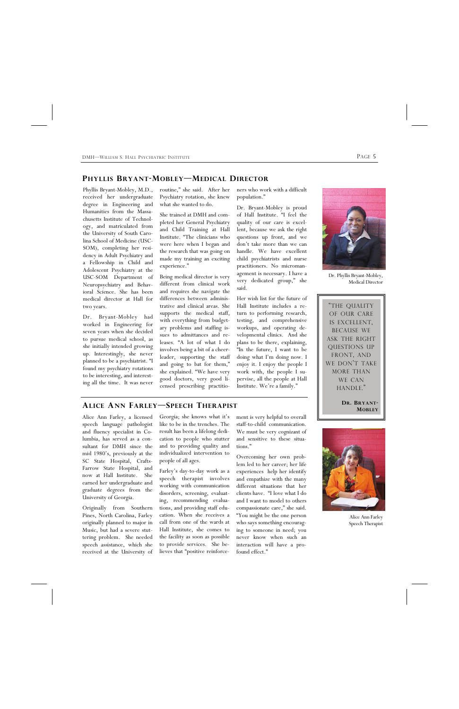

Dr. Phyllis Bryant-Mobley, Medical Director

Phyllis Bryant-Mobley, M.D., received her undergraduate degree in Engineering and Humanities from the Massachusetts Institute of Technology, and matriculated from the University of South Carolina School of Medicine (USC-SOM), completing her residency in Adult Psychiatry and a Fellowship in Child and Adolescent Psychiatry at the USC-SOM Department of Neuropsychiatry and Behavioral Science. She has been medical director at Hall for two years.

Dr. Bryant-Mobley had worked in Engineering for seven years when she decided to pursue medical school, as she initially intended growing up. Interestingly, she never planned to be a psychiatrist. "I found my psychiatry rotations to be interesting, and interesting all the time. It was never

routine," she said. After her Psychiatry rotation, she knew what she wanted to do.

She trained at DMH and completed her General Psychiatry and Child Training at Hall Institute. "The clinicians who were here when I began and the research that was going on made my training an exciting experience."

Being medical director is very different from clinical work and requires she navigate the differences between administrative and clinical areas. She supports the medical staff, with everything from budgetary problems and staffing issues to admittances and releases. "A lot of what I do involves being a bit of a cheerleader, supporting the staff and going to bat for them," she explained. "We have very good doctors, very good licensed prescribing practitioners who work with a difficult population."

Dr. Bryant-Mobley is proud of Hall Institute. "I feel the quality of our care is excellent, because we ask the right questions up front, and we don't take more than we can handle. We have excellent child psychiatrists and nurse practitioners. No micromanagement is necessary. I have a very dedicated group," she said.

Her wish list for the future of Hall Institute includes a return to performing research, testing, and comprehensive workups, and operating developmental clinics. And she plans to be there, explaining, "In the future, I want to be doing what I'm doing now. I enjoy it. I enjoy the people I work with, the people I supervise, all the people at Hall Institute. We're a family."

## **PHYLLIS BRYANT-MOBLEY—MEDICAL DIRECTOR**

Georgia; she knows what it's like to be in the trenches. The result has been a lifelong dedication to people who stutter and to providing quality and individualized intervention to people of all ages.

Farley's day-to-day work as a speech therapist involves working with communication disorders, screening, evaluating, recommending evaluations, and providing staff education. When she receives a call from one of the wards at Hall Institute, she comes to the facility as soon as possible to provide services. She believes that "positive reinforce-Originally from Southern

Alice Ann Farley, a licensed speech language pathologist and fluency specialist in Columbia, has served as a consultant for DMH since the mid 1980's, previously at the SC State Hospital, Crafts-Farrow State Hospital, and now at Hall Institute. She earned her undergraduate and graduate degrees from the University of Georgia.

Pines, North Carolina, Farley originally planned to major in Music, but had a severe stuttering problem. She needed speech assistance, which she received at the University of

ment is very helpful to overall staff-to-child communication. We must be very cognizant of and sensitive to these situations."

Overcoming her own problem led to her career; her life experiences help her identify and empathize with the many different situations that her clients have. "I love what I do and I want to model to others compassionate care," she said. "You might be the one person who says something encouraging to someone in need; you never know when such an interaction will have a profound effect."

#### **ALICE ANN FARLEY—SPEECH THERAPIST**



Alice Ann Farley

Speech Therapist

"THE QUALITY OF OUR CARE IS EXCELLENT, BECAUSE WE ASK THE RIGHT QUESTIONS UP FRONT, AND WE DON'T TAKE MORE THAN WE CAN HANDLE."

> **DR. BRYANT-MOBLEY**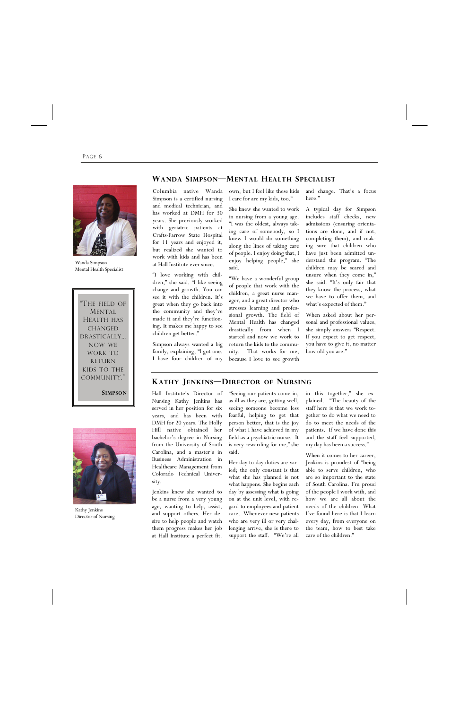#### PAGE 6

The field of MENTAL HEALTH HAS CHANGED DRASTICALLY... NOW WE WORK TO RETURN KIDS TO THE COMMUNITY." **SIMPSON**  **WANDA SIMPSON—MENTAL HEALTH SPECIALIST**

own, but I feel like these kids I care for are my kids, too."

She knew she wanted to work in nursing from a young age. "I was the oldest, always taking care of somebody, so I knew I would do something along the lines of taking care of people. I enjoy doing that, I enjoy helping people," she said.

"We have a wonderful group of people that work with the children, a great nurse manager, and a great director who stresses learning and professional growth. The field of Mental Health has changed drastically from when I started and now we work to return the kids to the community. That works for me, because I love to see growth

Columbia native Wanda Simpson is a certified nursing and medical technician, and has worked at DMH for 30 years. She previously worked with geriatric patients at Crafts-Farrow State Hospital for 11 years and enjoyed it, but realized she wanted to work with kids and has been at Hall Institute ever since.

"I love working with children," she said. "I like seeing change and growth. You can see it with the children. It's great when they go back into the community and they've made it and they're functioning. It makes me happy to see children get better."

Simpson always wanted a big family, explaining, "I got one. I have four children of my and change. That's a focus here."

A typical day for Simpson includes staff checks, new admissions (ensuring orientations are done, and if not, completing them), and making sure that children who have just been admitted understand the program. "The children may be scared and unsure when they come in," she said. "It's only fair that they know the process, what we have to offer them, and what's expected of them."

When asked about her personal and professional values, she simply answers "Respect. If you expect to get respect, you have to give it, no matter how old you are."

Hall Institute's Director of Nursing Kathy Jenkins has served in her position for six years, and has been with DMH for 20 years. The Holly Hill native obtained her bachelor's degree in Nursing from the University of South Carolina, and a master's in Business Administration in Healthcare Management from Colorado Technical University.

Jenkins knew she wanted to be a nurse from a very young age, wanting to help, assist, and support others. Her de-

"Seeing our patients come in, as ill as they are, getting well, seeing someone become less fearful, helping to get that person better, that is the joy of what I have achieved in my field as a psychiatric nurse. It is very rewarding for me," she said.

sire to help people and watch who are very ill or very chal-every day, from everyone on them progress makes her job lenging arrive, she is there to the team, how to best take at Hall Institute a perfect fit. support the staff. "We're all care of the children." Her day to day duties are varied; the only constant is that what she has planned is not what happens. She begins each day by assessing what is going on at the unit level, with regard to employees and patient care. Whenever new patients

in this together," she explained. "The beauty of the staff here is that we work together to do what we need to do to meet the needs of the patients. If we have done this and the staff feel supported, my day has been a success."

When it comes to her career, Jenkins is proudest of "being able to serve children, who are so important to the state of South Carolina. I'm proud of the people I work with, and how we are all about the needs of the children. What I've found here is that I learn

### **KATHY JENKINS—DIRECTOR OF NURSING**



Wanda Simpson Mental Health Specialist



Kathy Jenkins Director of Nursing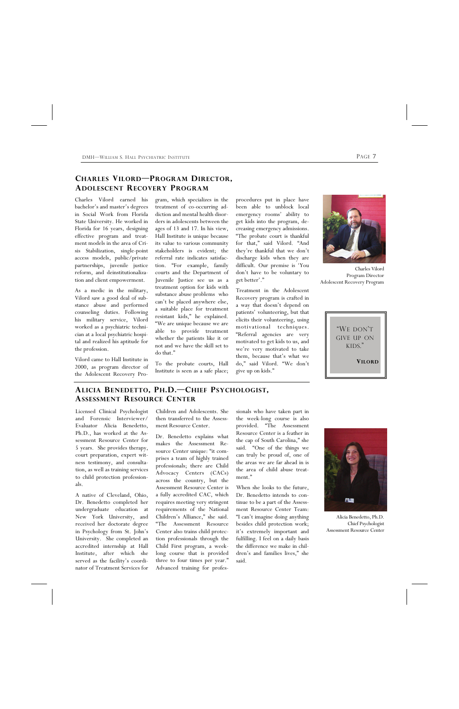DMH—WILLIAM S. HALL PSYCHIATRIC INSTITUTE **PAGE 7** 

## **CHARLES VILORD—PROGRAM DIRECTOR, ADOLESCENT RECOVERY PROGRAM**

gram, which specializes in the treatment of co-occurring addiction and mental health disorders in adolescents between the ages of 13 and 17. In his view, Hall Institute is unique because its value to various community stakeholders is evident; the referral rate indicates satisfaction. "For example, family courts and the Department of Juvenile Justice see us as a treatment option for kids with substance abuse problems who can't be placed anywhere else, a suitable place for treatment resistant kids," he explained. "We are unique because we are able to provide treatment whether the patients like it or not and we have the skill set to do that."

To the probate courts, Hall Institute is seen as a safe place;

Charles Vilord earned his bachelor's and master's degrees in Social Work from Florida State University. He worked in Florida for 16 years, designing effective program and treatment models in the area of Crisis Stabilization, single-point access models, public/private partnerships, juvenile justice reform, and deinstitutionalization and client empowerment.

As a medic in the military, Vilord saw a good deal of substance abuse and performed counseling duties. Following his military service, Vilord worked as a psychiatric technician at a local psychiatric hospital and realized his aptitude for the profession.

Vilord came to Hall Institute in 2000, as program director of the Adolescent Recovery Proprocedures put in place have been able to unblock local emergency rooms' ability to get kids into the program, decreasing emergency admissions. "The probate court is thankful for that," said Vilord. "And they're thankful that we don't discharge kids when they are difficult. Our premise is 'You don't have to be voluntary to get better'."

Treatment in the Adolescent Recovery program is crafted in a way that doesn't depend on patients' volunteering, but that elicits their volunteering, using motivational techniques. "Referral agencies are very motivated to get kids to us, and we're very motivated to take them, because that's what we do," said Vilord. "We don't give up on kids."

Licensed Clinical Psychologist and Forensic Interviewer/ Evaluator Alicia Benedetto, Ph.D., has worked at the Assessment Resource Center for 5 years. She provides therapy, court preparation, expert witness testimony, and consultation, as well as training services to child protection professionals.

A native of Cleveland, Ohio, Dr. Benedetto completed her undergraduate education at New York University, and received her doctorate degree in Psychology from St. John's University. She completed an accredited internship at Hall Institute, after which she served as the facility's coordinator of Treatment Services for

Children and Adolescents. She then transferred to the Assessment Resource Center.

Dr. Benedetto explains what makes the Assessment Resource Center unique: "it comprises a team of highly trained professionals; there are Child Advocacy Centers (CACs) across the country, but the Assessment Resource Center is a fully accredited CAC, which requires meeting very stringent requirements of the National Children's Alliance," she said. "The Assessment Resource Center also trains child protection professionals through the Child First program, a weeklong course that is provided three to four times per year." Advanced training for profes-

sionals who have taken part in the week-long course is also provided. "The Assessment Resource Center is a feather in the cap of South Carolina," she said. "One of the things we can truly be proud of, one of the areas we are far ahead in is the area of child abuse treatment."

When she looks to the future, Dr. Benedetto intends to continue to be a part of the Assessment Resource Center Team: "I can't imagine doing anything besides child protection work; it's extremely important and fulfilling. I feel on a daily basis the difference we make in children's and families lives," she said.

"WE DON'T GIVE UP ON KIDS." **VILORD**

## **ALICIA BENEDETTO, PH.D.—CHIEF PSYCHOLOGIST, ASSESSMENT RESOURCE CENTER**



Alicia Benedetto, Ph.D.

Chief Psychologist Assessment Resource Center



Charles Vilord Program Director Adolescent Recovery Program